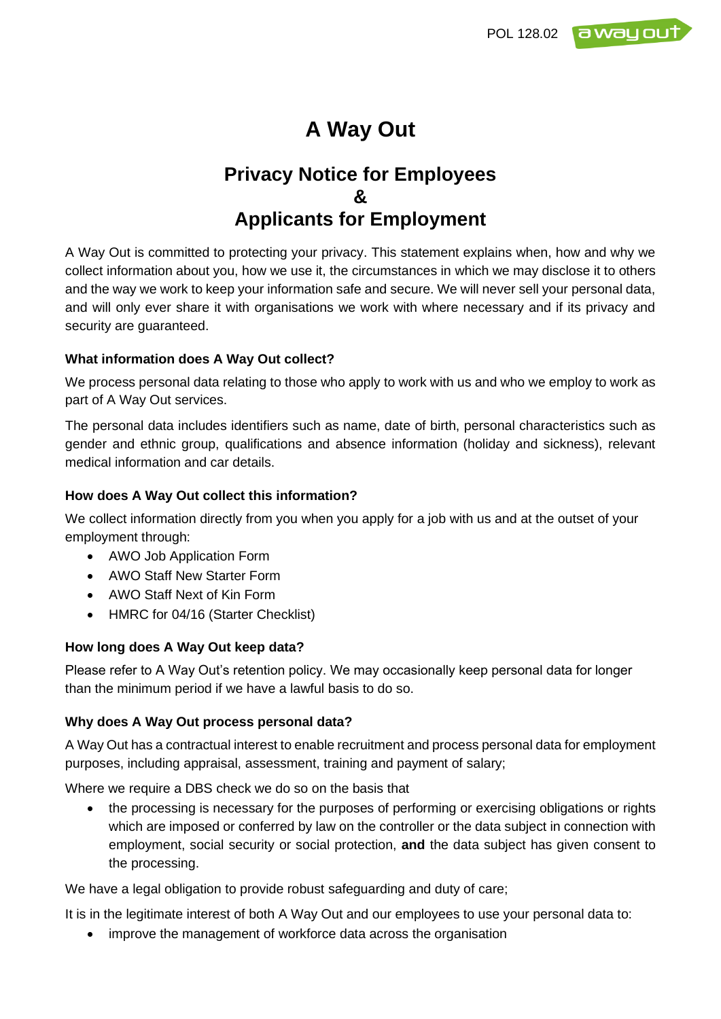

# **A Way Out**

# **Privacy Notice for Employees & Applicants for Employment**

A Way Out is committed to protecting your privacy. This statement explains when, how and why we collect information about you, how we use it, the circumstances in which we may disclose it to others and the way we work to keep your information safe and secure. We will never sell your personal data, and will only ever share it with organisations we work with where necessary and if its privacy and security are guaranteed.

### **What information does A Way Out collect?**

We process personal data relating to those who apply to work with us and who we employ to work as part of A Way Out services.

The personal data includes identifiers such as name, date of birth, personal characteristics such as gender and ethnic group, qualifications and absence information (holiday and sickness), relevant medical information and car details.

#### **How does A Way Out collect this information?**

We collect information directly from you when you apply for a job with us and at the outset of your employment through:

- AWO Job Application Form
- AWO Staff New Starter Form
- AWO Staff Next of Kin Form
- HMRC for 04/16 (Starter Checklist)

#### **How long does A Way Out keep data?**

Please refer to A Way Out's retention policy. We may occasionally keep personal data for longer than the minimum period if we have a lawful basis to do so.

#### **Why does A Way Out process personal data?**

A Way Out has a contractual interest to enable recruitment and process personal data for employment purposes, including appraisal, assessment, training and payment of salary;

Where we require a DBS check we do so on the basis that

• the processing is necessary for the purposes of performing or exercising obligations or rights which are imposed or conferred by law on the controller or the data subject in connection with employment, social security or social protection, **and** the data subject has given consent to the processing.

We have a legal obligation to provide robust safeguarding and duty of care;

It is in the legitimate interest of both A Way Out and our employees to use your personal data to:

• improve the management of workforce data across the organisation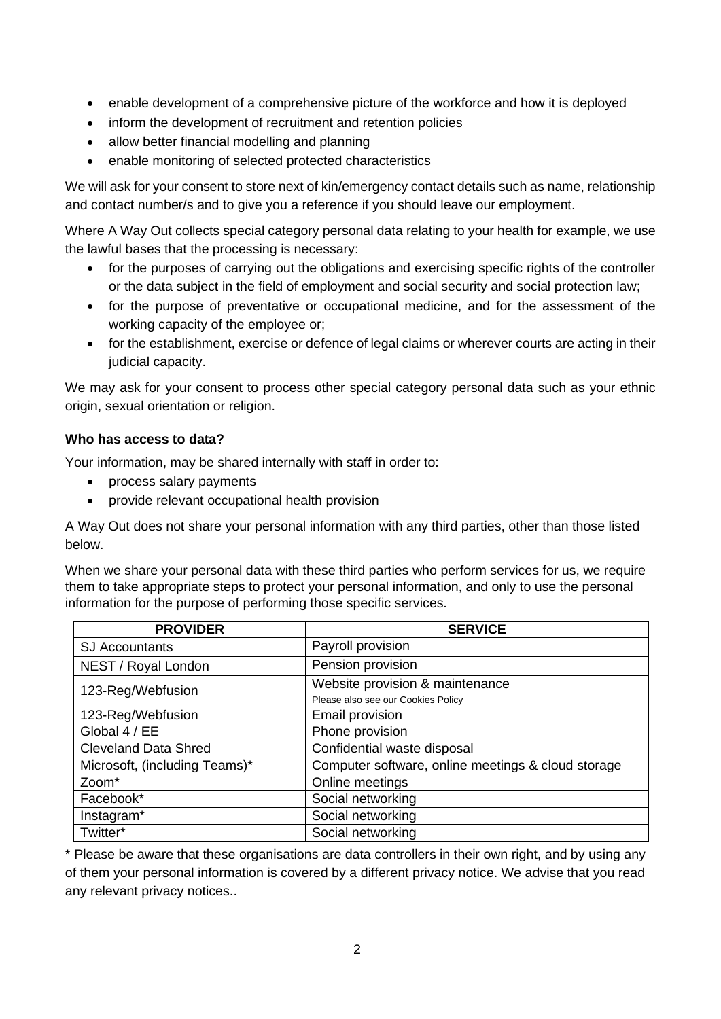- enable development of a comprehensive picture of the workforce and how it is deployed
- inform the development of recruitment and retention policies
- allow better financial modelling and planning
- enable monitoring of selected protected characteristics

We will ask for your consent to store next of kin/emergency contact details such as name, relationship and contact number/s and to give you a reference if you should leave our employment.

Where A Way Out collects special category personal data relating to your health for example, we use the lawful bases that the processing is necessary:

- for the purposes of carrying out the obligations and exercising specific rights of the controller or the data subject in the field of employment and social security and social protection law;
- for the purpose of preventative or occupational medicine, and for the assessment of the working capacity of the employee or;
- for the establishment, exercise or defence of legal claims or wherever courts are acting in their judicial capacity.

We may ask for your consent to process other special category personal data such as your ethnic origin, sexual orientation or religion.

#### **Who has access to data?**

Your information, may be shared internally with staff in order to:

- process salary payments
- provide relevant occupational health provision

A Way Out does not share your personal information with any third parties, other than those listed below.

When we share your personal data with these third parties who perform services for us, we require them to take appropriate steps to protect your personal information, and only to use the personal information for the purpose of performing those specific services.

| <b>PROVIDER</b>               | <b>SERVICE</b>                                     |  |
|-------------------------------|----------------------------------------------------|--|
| <b>SJ Accountants</b>         | Payroll provision                                  |  |
| NEST / Royal London           | Pension provision                                  |  |
| 123-Reg/Webfusion             | Website provision & maintenance                    |  |
|                               | Please also see our Cookies Policy                 |  |
| 123-Reg/Webfusion             | Email provision                                    |  |
| Global 4 / EE                 | Phone provision                                    |  |
| <b>Cleveland Data Shred</b>   | Confidential waste disposal                        |  |
| Microsoft, (including Teams)* | Computer software, online meetings & cloud storage |  |
| Zoom*                         | Online meetings                                    |  |
| Facebook*                     | Social networking                                  |  |
| Instagram*                    | Social networking                                  |  |
| Twitter*                      | Social networking                                  |  |

\* Please be aware that these organisations are data controllers in their own right, and by using any of them your personal information is covered by a different privacy notice. We advise that you read any relevant privacy notices..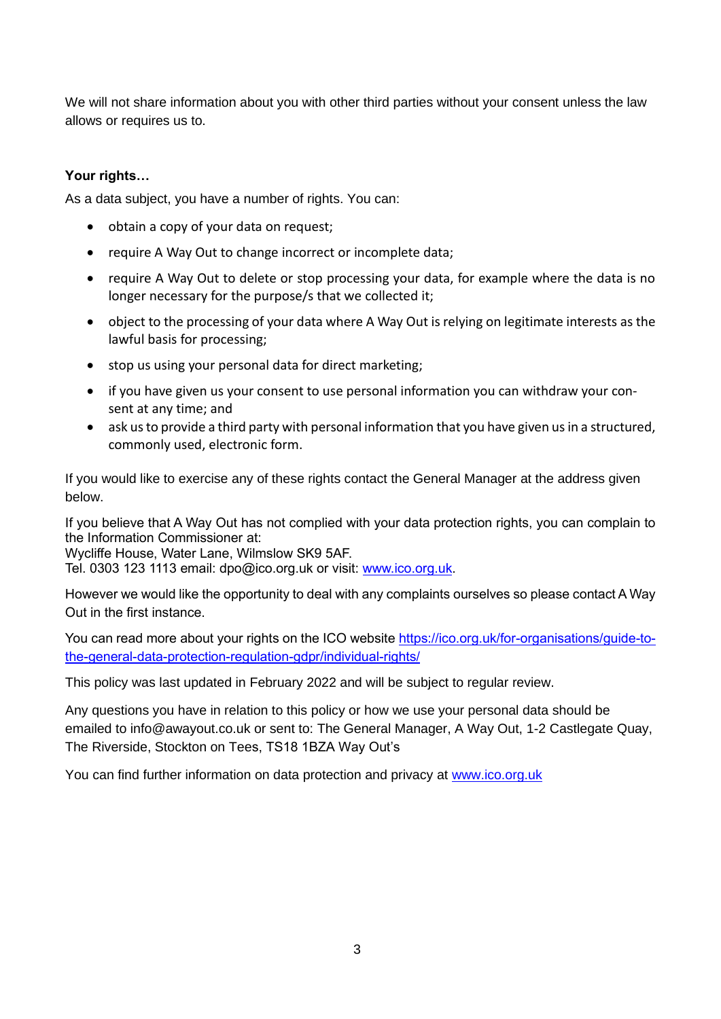We will not share information about you with other third parties without your consent unless the law allows or requires us to.

## **Your rights…**

As a data subject, you have a number of rights. You can:

- obtain a copy of your data on request;
- require A Way Out to change incorrect or incomplete data;
- require A Way Out to delete or stop processing your data, for example where the data is no longer necessary for the purpose/s that we collected it;
- object to the processing of your data where A Way Out is relying on legitimate interests as the lawful basis for processing;
- stop us using your personal data for direct marketing;
- if you have given us your consent to use personal information you can withdraw your consent at any time; and
- ask us to provide a third party with personal information that you have given us in a structured, commonly used, electronic form.

If you would like to exercise any of these rights contact the General Manager at the address given below.

If you believe that A Way Out has not complied with your data protection rights, you can complain to the Information Commissioner at:

Wycliffe House, Water Lane, Wilmslow SK9 5AF.

Tel. 0303 123 1113 email: dpo@ico.org.uk or visit: [www.ico.org.uk.](http://www.ico.org.uk/)

However we would like the opportunity to deal with any complaints ourselves so please contact A Way Out in the first instance.

You can read more about your rights on the ICO website [https://ico.org.uk/for-organisations/guide-to](https://ico.org.uk/for-organisations/guide-to-the-general-data-protection-regulation-gdpr/individual-rights/)[the-general-data-protection-regulation-gdpr/individual-rights/](https://ico.org.uk/for-organisations/guide-to-the-general-data-protection-regulation-gdpr/individual-rights/)

This policy was last updated in February 2022 and will be subject to regular review.

Any questions you have in relation to this policy or how we use your personal data should be emailed to info@awayout.co.uk or sent to: The General Manager, A Way Out, 1-2 Castlegate Quay, The Riverside, Stockton on Tees, TS18 1BZA Way Out's

You can find further information on data protection and privacy at [www.ico.org.uk](http://www.ico.org.uk/)